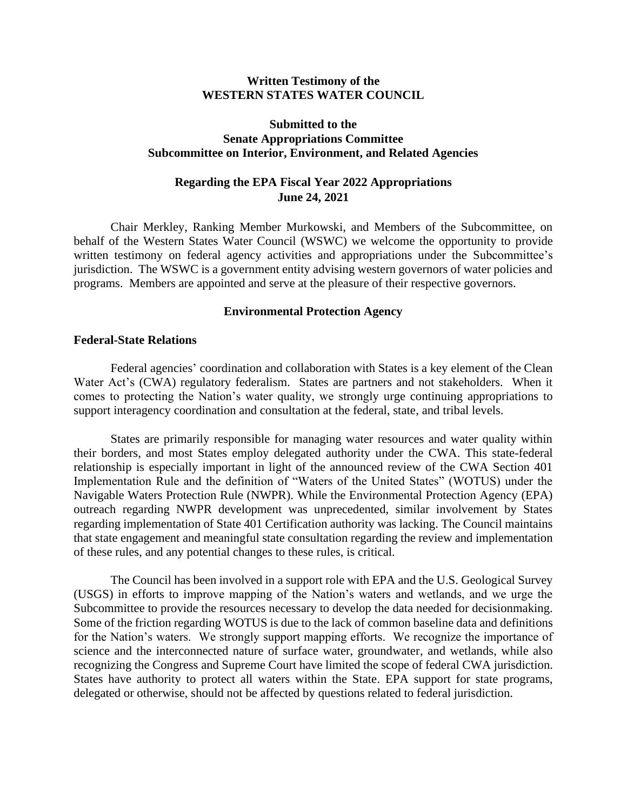### **Written Testimony of the WESTERN STATES WATER COUNCIL**

## **Submitted to the Senate Appropriations Committee Subcommittee on Interior, Environment, and Related Agencies**

# **Regarding the EPA Fiscal Year 2022 Appropriations June 24, 2021**

Chair Merkley, Ranking Member Murkowski, and Members of the Subcommittee, on behalf of the Western States Water Council (WSWC) we welcome the opportunity to provide written testimony on federal agency activities and appropriations under the Subcommittee's jurisdiction. The WSWC is a government entity advising western governors of water policies and programs. Members are appointed and serve at the pleasure of their respective governors.

#### **Environmental Protection Agency**

#### **Federal-State Relations**

Federal agencies' coordination and collaboration with States is a key element of the Clean Water Act's (CWA) regulatory federalism. States are partners and not stakeholders. When it comes to protecting the Nation's water quality, we strongly urge continuing appropriations to support interagency coordination and consultation at the federal, state, and tribal levels.

States are primarily responsible for managing water resources and water quality within their borders, and most States employ delegated authority under the CWA. This state-federal relationship is especially important in light of the announced review of the CWA Section 401 Implementation Rule and the definition of "Waters of the United States" (WOTUS) under the Navigable Waters Protection Rule (NWPR). While the Environmental Protection Agency (EPA) outreach regarding NWPR development was unprecedented, similar involvement by States regarding implementation of State 401 Certification authority was lacking. The Council maintains that state engagement and meaningful state consultation regarding the review and implementation of these rules, and any potential changes to these rules, is critical.

The Council has been involved in a support role with EPA and the U.S. Geological Survey (USGS) in efforts to improve mapping of the Nation's waters and wetlands, and we urge the Subcommittee to provide the resources necessary to develop the data needed for decisionmaking. Some of the friction regarding WOTUS is due to the lack of common baseline data and definitions for the Nation's waters. We strongly support mapping efforts. We recognize the importance of science and the interconnected nature of surface water, groundwater, and wetlands, while also recognizing the Congress and Supreme Court have limited the scope of federal CWA jurisdiction. States have authority to protect all waters within the State. EPA support for state programs, delegated or otherwise, should not be affected by questions related to federal jurisdiction.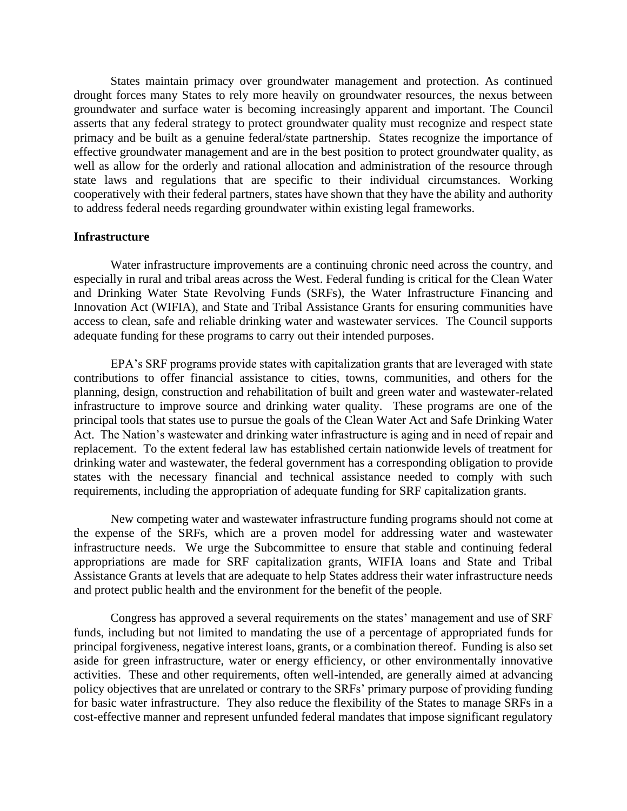States maintain primacy over groundwater management and protection. As continued drought forces many States to rely more heavily on groundwater resources, the nexus between groundwater and surface water is becoming increasingly apparent and important. The Council asserts that any federal strategy to protect groundwater quality must recognize and respect state primacy and be built as a genuine federal/state partnership. States recognize the importance of effective groundwater management and are in the best position to protect groundwater quality, as well as allow for the orderly and rational allocation and administration of the resource through state laws and regulations that are specific to their individual circumstances. Working cooperatively with their federal partners, states have shown that they have the ability and authority to address federal needs regarding groundwater within existing legal frameworks.

#### **Infrastructure**

Water infrastructure improvements are a continuing chronic need across the country, and especially in rural and tribal areas across the West. Federal funding is critical for the Clean Water and Drinking Water State Revolving Funds (SRFs), the Water Infrastructure Financing and Innovation Act (WIFIA), and State and Tribal Assistance Grants for ensuring communities have access to clean, safe and reliable drinking water and wastewater services. The Council supports adequate funding for these programs to carry out their intended purposes.

EPA's SRF programs provide states with capitalization grants that are leveraged with state contributions to offer financial assistance to cities, towns, communities, and others for the planning, design, construction and rehabilitation of built and green water and wastewater-related infrastructure to improve source and drinking water quality. These programs are one of the principal tools that states use to pursue the goals of the Clean Water Act and Safe Drinking Water Act. The Nation's wastewater and drinking water infrastructure is aging and in need of repair and replacement. To the extent federal law has established certain nationwide levels of treatment for drinking water and wastewater, the federal government has a corresponding obligation to provide states with the necessary financial and technical assistance needed to comply with such requirements, including the appropriation of adequate funding for SRF capitalization grants.

New competing water and wastewater infrastructure funding programs should not come at the expense of the SRFs, which are a proven model for addressing water and wastewater infrastructure needs. We urge the Subcommittee to ensure that stable and continuing federal appropriations are made for SRF capitalization grants, WIFIA loans and State and Tribal Assistance Grants at levels that are adequate to help States address their water infrastructure needs and protect public health and the environment for the benefit of the people.

Congress has approved a several requirements on the states' management and use of SRF funds, including but not limited to mandating the use of a percentage of appropriated funds for principal forgiveness, negative interest loans, grants, or a combination thereof. Funding is also set aside for green infrastructure, water or energy efficiency, or other environmentally innovative activities. These and other requirements, often well-intended, are generally aimed at advancing policy objectives that are unrelated or contrary to the SRFs' primary purpose of providing funding for basic water infrastructure. They also reduce the flexibility of the States to manage SRFs in a cost-effective manner and represent unfunded federal mandates that impose significant regulatory